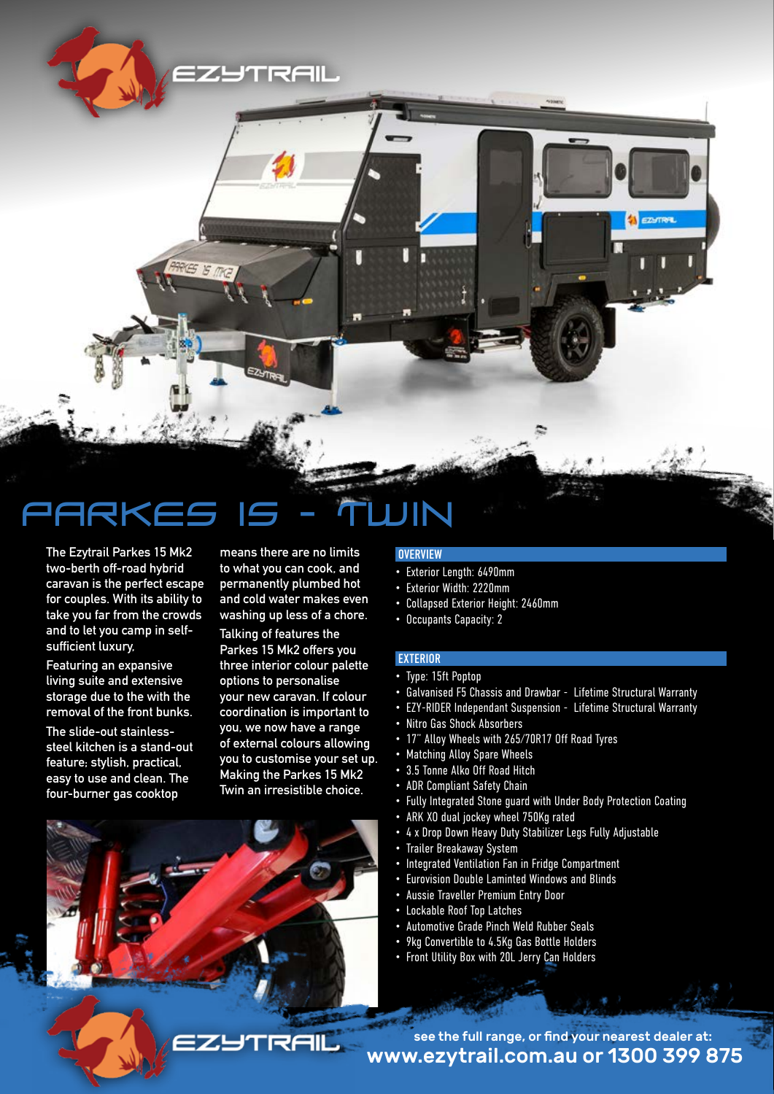ZYTRAII.

# PARKES 15 - TWIN

ES IS MG

**The Ezytrail Parkes 15 Mk2 two-berth off-road hybrid caravan is the perfect escape for couples. With its ability to take you far from the crowds and to let you camp in selfsufficient luxury,** 

**Featuring an expansive living suite and extensive storage due to the with the removal of the front bunks.** 

**The slide-out stainlesssteel kitchen is a stand-out feature; stylish, practical, easy to use and clean. The four-burner gas cooktop** 

**means there are no limits to what you can cook, and permanently plumbed hot and cold water makes even washing up less of a chore.**

**Talking of features the Parkes 15 Mk2 offers you three interior colour palette options to personalise your new caravan. If colour coordination is important to you, we now have a range of external colours allowing you to customise your set up. Making the Parkes 15 Mk2 Twin an irresistible choice.** 

## **OVERVIEW**

- Exterior Length: 6490mm
- Exterior Width: 2220mm
- Collapsed Exterior Height: 2460mm
- Occupants Capacity: 2

### EXTERIOR

- Type: 15ft Poptop
- Galvanised F5 Chassis and Drawbar Lifetime Structural Warranty

**EZHTRAL** 

- EZY-RIDER Independant Suspension Lifetime Structural Warranty
- Nitro Gas Shock Absorbers
- 17" Alloy Wheels with 265/70R17 Off Road Tyres
- Matching Alloy Spare Wheels
- 3.5 Tonne Alko Off Road Hitch
- ADR Compliant Safety Chain
- Fully Integrated Stone guard with Under Body Protection Coating
- ARK XO dual jockey wheel 750Kg rated
- 4 x Drop Down Heavy Duty Stabilizer Legs Fully Adjustable
- Trailer Breakaway System
- Integrated Ventilation Fan in Fridge Compartment
- Eurovision Double Laminted Windows and Blinds
- Aussie Traveller Premium Entry Door
- Lockable Roof Top Latches
- Automotive Grade Pinch Weld Rubber Seals
- 9kg Convertible to 4.5Kg Gas Bottle Holders
- Front Utility Box with 20L Jerry Can Holders

www.ezytrail.com.au or 1300 399 875 see the full range, or find your nearest dealer at: